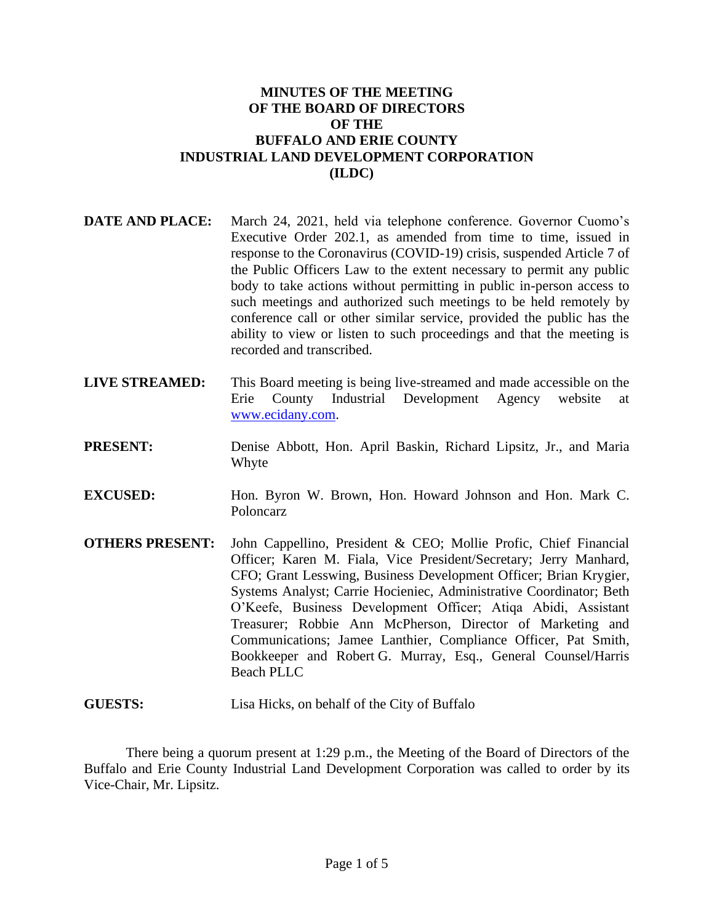### **MINUTES OF THE MEETING OF THE BOARD OF DIRECTORS OF THE BUFFALO AND ERIE COUNTY INDUSTRIAL LAND DEVELOPMENT CORPORATION (ILDC)**

- **DATE AND PLACE:** March 24, 2021, held via telephone conference. Governor Cuomo's Executive Order 202.1, as amended from time to time, issued in response to the Coronavirus (COVID-19) crisis, suspended Article 7 of the Public Officers Law to the extent necessary to permit any public body to take actions without permitting in public in-person access to such meetings and authorized such meetings to be held remotely by conference call or other similar service, provided the public has the ability to view or listen to such proceedings and that the meeting is recorded and transcribed.
- **LIVE STREAMED:** This Board meeting is being live-streamed and made accessible on the Erie County Industrial Development Agency website at [www.ecidany.com.](http://www.ecidany.com/)
- **PRESENT:** Denise Abbott, Hon. April Baskin, Richard Lipsitz, Jr., and Maria Whyte
- **EXCUSED:** Hon. Byron W. Brown, Hon. Howard Johnson and Hon. Mark C. Poloncarz
- **OTHERS PRESENT:** John Cappellino, President & CEO; Mollie Profic, Chief Financial Officer; Karen M. Fiala, Vice President/Secretary; Jerry Manhard, CFO; Grant Lesswing, Business Development Officer; Brian Krygier, Systems Analyst; Carrie Hocieniec, Administrative Coordinator; Beth O'Keefe, Business Development Officer; Atiqa Abidi, Assistant Treasurer; Robbie Ann McPherson, Director of Marketing and Communications; Jamee Lanthier, Compliance Officer, Pat Smith, Bookkeeper and Robert G. Murray, Esq., General Counsel/Harris Beach PLLC
- **GUESTS:** Lisa Hicks, on behalf of the City of Buffalo

There being a quorum present at 1:29 p.m., the Meeting of the Board of Directors of the Buffalo and Erie County Industrial Land Development Corporation was called to order by its Vice-Chair, Mr. Lipsitz.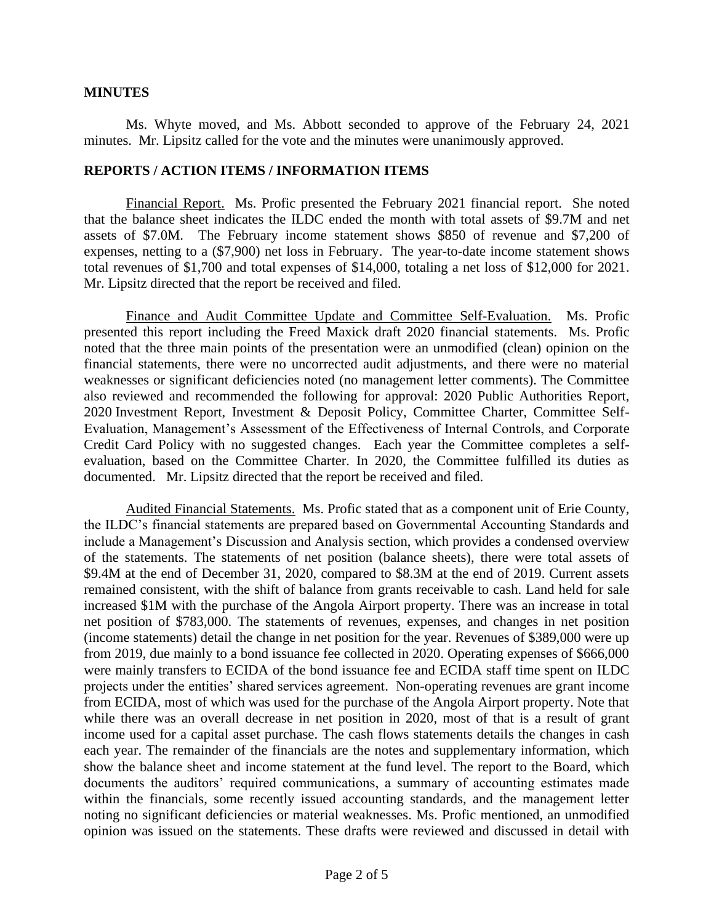#### **MINUTES**

Ms. Whyte moved, and Ms. Abbott seconded to approve of the February 24, 2021 minutes. Mr. Lipsitz called for the vote and the minutes were unanimously approved.

#### **REPORTS / ACTION ITEMS / INFORMATION ITEMS**

Financial Report. Ms. Profic presented the February 2021 financial report. She noted that the balance sheet indicates the ILDC ended the month with total assets of \$9.7M and net assets of \$7.0M. The February income statement shows \$850 of revenue and \$7,200 of expenses, netting to a (\$7,900) net loss in February. The year-to-date income statement shows total revenues of \$1,700 and total expenses of \$14,000, totaling a net loss of \$12,000 for 2021. Mr. Lipsitz directed that the report be received and filed.

Finance and Audit Committee Update and Committee Self-Evaluation. Ms. Profic presented this report including the Freed Maxick draft 2020 financial statements. Ms. Profic noted that the three main points of the presentation were an unmodified (clean) opinion on the financial statements, there were no uncorrected audit adjustments, and there were no material weaknesses or significant deficiencies noted (no management letter comments). The Committee also reviewed and recommended the following for approval: 2020 Public Authorities Report, 2020 Investment Report, Investment & Deposit Policy, Committee Charter, Committee Self-Evaluation, Management's Assessment of the Effectiveness of Internal Controls, and Corporate Credit Card Policy with no suggested changes. Each year the Committee completes a selfevaluation, based on the Committee Charter. In 2020, the Committee fulfilled its duties as documented. Mr. Lipsitz directed that the report be received and filed.

Audited Financial Statements. Ms. Profic stated that as a component unit of Erie County, the ILDC's financial statements are prepared based on Governmental Accounting Standards and include a Management's Discussion and Analysis section, which provides a condensed overview of the statements. The statements of net position (balance sheets), there were total assets of \$9.4M at the end of December 31, 2020, compared to \$8.3M at the end of 2019. Current assets remained consistent, with the shift of balance from grants receivable to cash. Land held for sale increased \$1M with the purchase of the Angola Airport property. There was an increase in total net position of \$783,000. The statements of revenues, expenses, and changes in net position (income statements) detail the change in net position for the year. Revenues of \$389,000 were up from 2019, due mainly to a bond issuance fee collected in 2020. Operating expenses of \$666,000 were mainly transfers to ECIDA of the bond issuance fee and ECIDA staff time spent on ILDC projects under the entities' shared services agreement. Non-operating revenues are grant income from ECIDA, most of which was used for the purchase of the Angola Airport property. Note that while there was an overall decrease in net position in 2020, most of that is a result of grant income used for a capital asset purchase. The cash flows statements details the changes in cash each year. The remainder of the financials are the notes and supplementary information, which show the balance sheet and income statement at the fund level. The report to the Board, which documents the auditors' required communications, a summary of accounting estimates made within the financials, some recently issued accounting standards, and the management letter noting no significant deficiencies or material weaknesses. Ms. Profic mentioned, an unmodified opinion was issued on the statements. These drafts were reviewed and discussed in detail with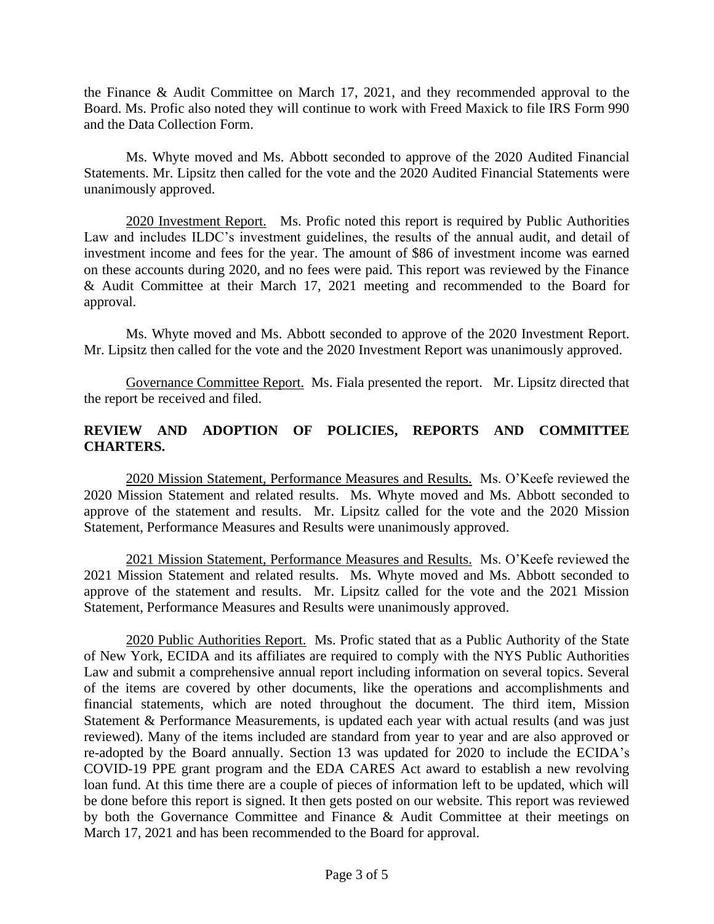the Finance & Audit Committee on March 17, 2021, and they recommended approval to the Board. Ms. Profic also noted they will continue to work with Freed Maxick to file IRS Form 990 and the Data Collection Form.

Ms. Whyte moved and Ms. Abbott seconded to approve of the 2020 Audited Financial Statements. Mr. Lipsitz then called for the vote and the 2020 Audited Financial Statements were unanimously approved.

2020 Investment Report. Ms. Profic noted this report is required by Public Authorities Law and includes ILDC's investment guidelines, the results of the annual audit, and detail of investment income and fees for the year. The amount of \$86 of investment income was earned on these accounts during 2020, and no fees were paid. This report was reviewed by the Finance & Audit Committee at their March 17, 2021 meeting and recommended to the Board for approval.

Ms. Whyte moved and Ms. Abbott seconded to approve of the 2020 Investment Report. Mr. Lipsitz then called for the vote and the 2020 Investment Report was unanimously approved.

Governance Committee Report. Ms. Fiala presented the report. Mr. Lipsitz directed that the report be received and filed.

# **REVIEW AND ADOPTION OF POLICIES, REPORTS AND COMMITTEE CHARTERS.**

2020 Mission Statement, Performance Measures and Results. Ms. O'Keefe reviewed the 2020 Mission Statement and related results. Ms. Whyte moved and Ms. Abbott seconded to approve of the statement and results. Mr. Lipsitz called for the vote and the 2020 Mission Statement, Performance Measures and Results were unanimously approved.

2021 Mission Statement, Performance Measures and Results. Ms. O'Keefe reviewed the 2021 Mission Statement and related results. Ms. Whyte moved and Ms. Abbott seconded to approve of the statement and results. Mr. Lipsitz called for the vote and the 2021 Mission Statement, Performance Measures and Results were unanimously approved.

2020 Public Authorities Report. Ms. Profic stated that as a Public Authority of the State of New York, ECIDA and its affiliates are required to comply with the NYS Public Authorities Law and submit a comprehensive annual report including information on several topics. Several of the items are covered by other documents, like the operations and accomplishments and financial statements, which are noted throughout the document. The third item, Mission Statement & Performance Measurements, is updated each year with actual results (and was just reviewed). Many of the items included are standard from year to year and are also approved or re-adopted by the Board annually. Section 13 was updated for 2020 to include the ECIDA's COVID-19 PPE grant program and the EDA CARES Act award to establish a new revolving loan fund. At this time there are a couple of pieces of information left to be updated, which will be done before this report is signed. It then gets posted on our website. This report was reviewed by both the Governance Committee and Finance & Audit Committee at their meetings on March 17, 2021 and has been recommended to the Board for approval.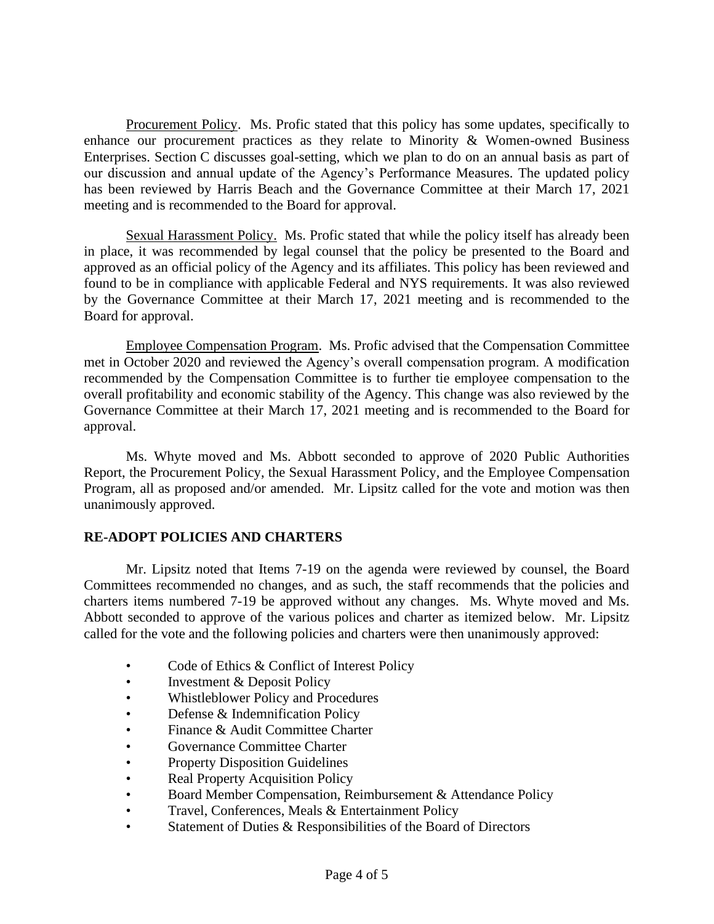Procurement Policy. Ms. Profic stated that this policy has some updates, specifically to enhance our procurement practices as they relate to Minority & Women-owned Business Enterprises. Section C discusses goal-setting, which we plan to do on an annual basis as part of our discussion and annual update of the Agency's Performance Measures. The updated policy has been reviewed by Harris Beach and the Governance Committee at their March 17, 2021 meeting and is recommended to the Board for approval.

Sexual Harassment Policy. Ms. Profic stated that while the policy itself has already been in place, it was recommended by legal counsel that the policy be presented to the Board and approved as an official policy of the Agency and its affiliates. This policy has been reviewed and found to be in compliance with applicable Federal and NYS requirements. It was also reviewed by the Governance Committee at their March 17, 2021 meeting and is recommended to the Board for approval.

Employee Compensation Program. Ms. Profic advised that the Compensation Committee met in October 2020 and reviewed the Agency's overall compensation program. A modification recommended by the Compensation Committee is to further tie employee compensation to the overall profitability and economic stability of the Agency. This change was also reviewed by the Governance Committee at their March 17, 2021 meeting and is recommended to the Board for approval.

Ms. Whyte moved and Ms. Abbott seconded to approve of 2020 Public Authorities Report, the Procurement Policy, the Sexual Harassment Policy, and the Employee Compensation Program, all as proposed and/or amended. Mr. Lipsitz called for the vote and motion was then unanimously approved.

### **RE-ADOPT POLICIES AND CHARTERS**

Mr. Lipsitz noted that Items 7-19 on the agenda were reviewed by counsel, the Board Committees recommended no changes, and as such, the staff recommends that the policies and charters items numbered 7-19 be approved without any changes. Ms. Whyte moved and Ms. Abbott seconded to approve of the various polices and charter as itemized below. Mr. Lipsitz called for the vote and the following policies and charters were then unanimously approved:

- Code of Ethics & Conflict of Interest Policy
- Investment & Deposit Policy
- Whistleblower Policy and Procedures
- Defense & Indemnification Policy
- Finance & Audit Committee Charter
- Governance Committee Charter
- Property Disposition Guidelines
- Real Property Acquisition Policy
- Board Member Compensation, Reimbursement & Attendance Policy
- Travel, Conferences, Meals & Entertainment Policy
- Statement of Duties & Responsibilities of the Board of Directors